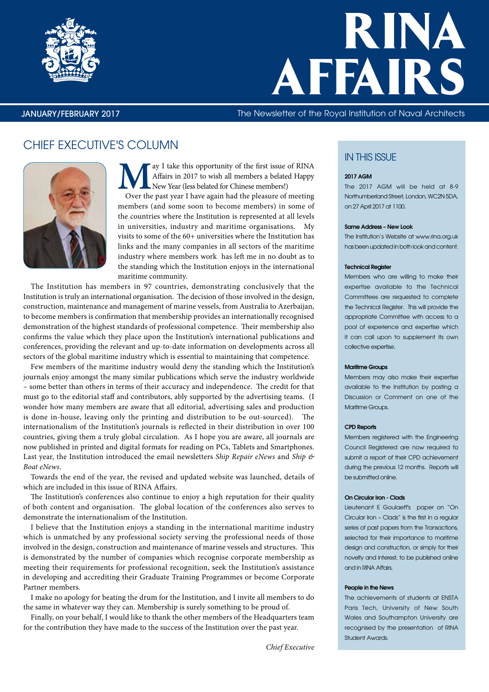

# RINA AFFAIRS

# JANUARY/FEBRUARY 2017 The Newsletter of the Royal Institution of Naval Architects

# CHIEF EXECUTIVE'S COLUMN



ay I take this opportunity of the first issue of RINA Affairs in 2017 to wish all members a belated Happy New Year (less belated for Chinese members!) Over the past year I have again had the pleasure of meeting members (and some soon to become members) in some of the countries where the Institution is represented at all levels in universities, industry and maritime organisations. My visits to some of the 60+ universities where the Institution has links and the many companies in all sectors of the maritime industry where members work has left me in no doubt as to the standing which the Institution enjoys in the international maritime community.

The Institution has members in 97 countries, demonstrating conclusively that the Institution is truly an international organisation. The decision of those involved in the design, construction, maintenance and management of marine vessels, from Australia to Azerbaijan, to become members is confirmation that membership provides an internationally recognised demonstration of the highest standards of professional competence. Their membership also confirms the value which they place upon the Institution's international publications and conferences, providing the relevant and up-to-date information on developments across all sectors of the global maritime industry which is essential to maintaining that competence.

Few members of the maritime industry would deny the standing which the Institution's journals enjoy amongst the many similar publications which serve the industry worldwide – some better than others in terms of their accuracy and independence. The credit for that must go to the editorial staff and contributors, ably supported by the advertising teams. (I wonder how many members are aware that all editorial, advertising sales and production is done in-house, leaving only the printing and distribution to be out-sourced). The internationalism of the Institution's journals is reflected in their distribution in over 100 countries, giving them a truly global circulation. As I hope you are aware, all journals are now published in printed and digital formats for reading on PCs, Tablets and Smartphones. Last year, the Institution introduced the email newsletters *Ship Repair eNews* and *Ship & Boat eNews*.

Towards the end of the year, the revised and updated website was launched, details of which are included in this issue of RINA Affairs.

The Institution's conferences also continue to enjoy a high reputation for their quality of both content and organisation. The global location of the conferences also serves to demonstrate the internationalism of the Institution.

I believe that the Institution enjoys a standing in the international maritime industry which is unmatched by any professional society serving the professional needs of those involved in the design, construction and maintenance of marine vessels and structures. This is demonstrated by the number of companies which recognise corporate membership as meeting their requirements for professional recognition, seek the Institution's assistance in developing and accrediting their Graduate Training Programmes or become Corporate Partner members.

I make no apology for beating the drum for the Institution, and I invite all members to do the same in whatever way they can. Membership is surely something to be proud of.

Finally, on your behalf, I would like to thank the other members of the Headquarters team for the contribution they have made to the success of the Institution over the past year.

# **IN THIS ISSUE**

#### 2017 AGM

The 2017 AGM will be held at 8-9 Northumberland Street, London, WC2N 5DA, on 27 April 2017 at 1100.

#### Same Address – New Look

The Institution's Website at www.rina.org.uk has been updated in both look and content.

#### Technical Register

Members who are willing to make their expertise available to the Technical Committees are requested to complete the Technical Register. This will provide the appropriate Committee with access to a pool of experience and expertise which it can call upon to supplement its own collective expertise.

#### Maritime Groups

Members may also make their expertise available to the Institution by posting a Discussion or Comment on one of the Maritime Groups.

#### CPD Reports

Members registered with the Engineering Council Registered are now required to submit a report of their CPD achievement during the previous 12 months. Reports will be submitted online.

#### On Circular Iron - Clads

Lieutenant E Goulaeff's paper on "On Circular Iron – Clads" is the first in a regular series of past papers from the Transactions, selected for their importance to maritime design and construction, or simply for their novelty and interest, to be published online and in RINA Affairs.

#### People in the News

The achievements of students at ENSTA Paris Tech, University of New South Wales and Southampton University are recognised by the presentation of RINA Student Awards.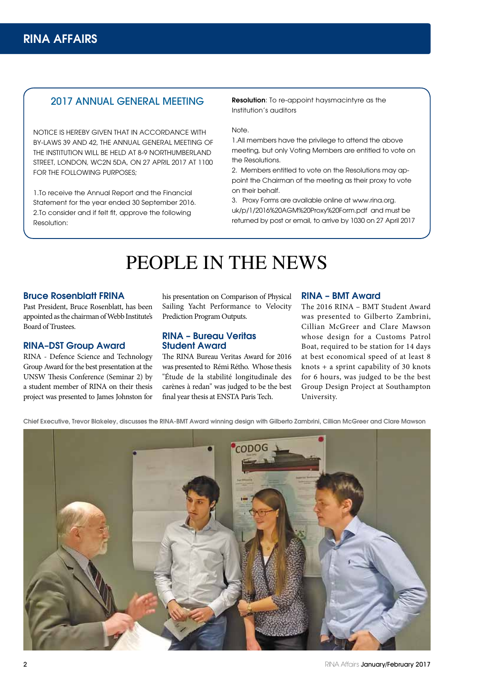# 2017 ANNUAL GENERAL MEETING

NOTICE IS HEREBY GIVEN THAT IN ACCORDANCE WITH BY-LAWS 39 AND 42, THE ANNUAL GENERAL MEETING OF THE INSTITUTION WILL BE HELD AT 8-9 NORTHUMBERLAND STREET, LONDON, WC2N 5DA, ON 27 APRIL 2017 AT 1100 FOR THE FOLLOWING PURPOSES;

1.To receive the Annual Report and the Financial Statement for the year ended 30 September 2016. 2.To consider and if felt fit, approve the following Resolution:

Resolution: To re-appoint haysmacintyre as the Institution's auditors

### Note.

1.All members have the privilege to attend the above meeting, but only Voting Members are entitled to vote on the Resolutions.

2. Members entitled to vote on the Resolutions may appoint the Chairman of the meeting as their proxy to vote on their behalf.

3. Proxy Forms are available online at www.rina.org. uk/p/1/2016%20AGM%20Proxy%20Form.pdf and must be returned by post or email, to arrive by 1030 on 27 April 2017

# PEOPLE IN THE NEWS

# Bruce Rosenblatt FRINA

Past President, Bruce Rosenblatt, has been appointed as the chairman of Webb Institute's Board of Trustees.

# RINA–DST Group Award

RINA - Defence Science and Technology Group Award for the best presentation at the UNSW Thesis Conference (Seminar 2) by a student member of RINA on their thesis project was presented to James Johnston for

his presentation on Comparison of Physical Sailing Yacht Performance to Velocity Prediction Program Outputs.

# RINA – Bureau Veritas Student Award

The RINA Bureau Veritas Award for 2016 was presented to Rémi Rétho. Whose thesis "Étude de la stabilité longitudinale des carènes à redan" was judged to be the best final year thesis at ENSTA Paris Tech.

#### RINA – BMT Award

The 2016 RINA – BMT Student Award was presented to Gilberto Zambrini, Cillian McGreer and Clare Mawson whose design for a Customs Patrol Boat, required to be station for 14 days at best economical speed of at least 8 knots + a sprint capability of 30 knots for 6 hours, was judged to be the best Group Design Project at Southampton University.

Chief Executive, Trevor Blakeley, discusses the RINA-BMT Award winning design with Gilberto Zambrini, Cillian McGreer and Clare Mawson

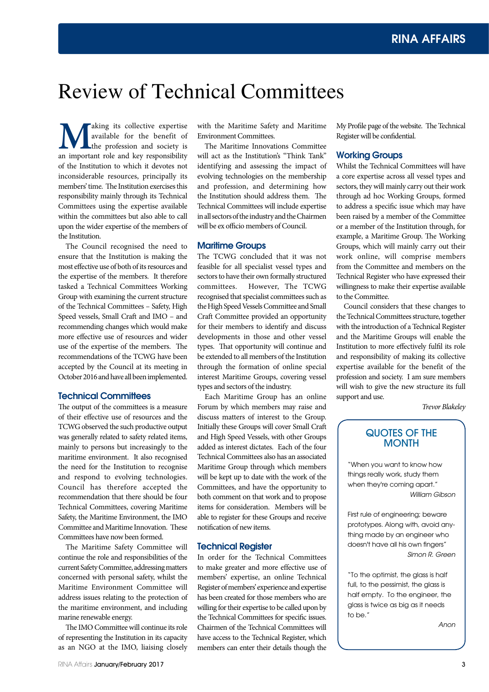# Review of Technical Committees

**M**aking its collective expertise<br>an important role and key responsibility<br>an important role and key responsibility available for the benefit of the profession and society is of the Institution to which it devotes not inconsiderable resources, principally its members' time. The Institution exercises this responsibility mainly through its Technical Committees using the expertise available within the committees but also able to call upon the wider expertise of the members of the Institution.

The Council recognised the need to ensure that the Institution is making the most effective use of both of its resources and the expertise of the members. It therefore tasked a Technical Committees Working Group with examining the current structure of the Technical Committees – Safety, High Speed vessels, Small Craft and IMO – and recommending changes which would make more effective use of resources and wider use of the expertise of the members. The recommendations of the TCWG have been accepted by the Council at its meeting in October 2016 and have all been implemented.

# Technical Committees

The output of the committees is a measure of their effective use of resources and the TCWG observed the such productive output was generally related to safety related items, mainly to persons but increasingly to the maritime environment. It also recognised the need for the Institution to recognise and respond to evolving technologies. Council has therefore accepted the recommendation that there should be four Technical Committees, covering Maritime Safety, the Maritime Environment, the IMO Committee and Maritime Innovation. These Committees have now been formed.

The Maritime Safety Committee will continue the role and responsibilities of the current Safety Committee, addressing matters concerned with personal safety, whilst the Maritime Environment Committee will address issues relating to the protection of the maritime environment, and including marine renewable energy.

The IMO Committee will continue its role of representing the Institution in its capacity as an NGO at the IMO, liaising closely

with the Maritime Safety and Maritime Environment Committees.

The Maritime Innovations Committee will act as the Institution's "Think Tank" identifying and assessing the impact of evolving technologies on the membership and profession, and determining how the Institution should address them. The Technical Committees will include expertise in all sectors of the industry and the Chairmen will be ex officio members of Council.

# Maritime Groups

The TCWG concluded that it was not feasible for all specialist vessel types and sectors to have their own formally structured committees. However, The TCWG recognised that specialist committees such as the High Speed Vessels Committee and Small Craft Committee provided an opportunity for their members to identify and discuss developments in those and other vessel types. That opportunity will continue and be extended to all members of the Institution through the formation of online special interest Maritime Groups, covering vessel types and sectors of the industry.

Each Maritime Group has an online Forum by which members may raise and discuss matters of interest to the Group. Initially these Groups will cover Small Craft and High Speed Vessels, with other Groups added as interest dictates. Each of the four Technical Committees also has an associated Maritime Group through which members will be kept up to date with the work of the Committees, and have the opportunity to both comment on that work and to propose items for consideration. Members will be able to register for these Groups and receive notification of new items.

#### Technical Register

In order for the Technical Committees to make greater and more effective use of members' expertise, an online Technical Register of members' experience and expertise has been created for those members who are willing for their expertise to be called upon by the Technical Committees for specific issues. Chairmen of the Technical Committees will have access to the Technical Register, which members can enter their details though the

My Profile page of the website. The Technical Register will be confidential.

### Working Groups

Whilst the Technical Committees will have a core expertise across all vessel types and sectors, they will mainly carry out their work through ad hoc Working Groups, formed to address a specific issue which may have been raised by a member of the Committee or a member of the Institution through, for example, a Maritime Group. The Working Groups, which will mainly carry out their work online, will comprise members from the Committee and members on the Technical Register who have expressed their willingness to make their expertise available to the Committee.

Council considers that these changes to the Technical Committees structure, together with the introduction of a Technical Register and the Maritime Groups will enable the Institution to more effectively fulfil its role and responsibility of making its collective expertise available for the benefit of the profession and society. I am sure members will wish to give the new structure its full support and use.

*Trevor Blakeley* 

# QUOTES OF THE **MONTH**

"When you want to know how things really work, study them when they're coming apart." *William Gibson*

First rule of engineering; beware prototypes. Along with, avoid anything made by an engineer who doesn't have all his own fingers" *Simon R. Green*

"To the optimist, the glass is half full, to the pessimist, the glass is half empty. To the engineer, the glass is twice as big as it needs to be."

*Anon*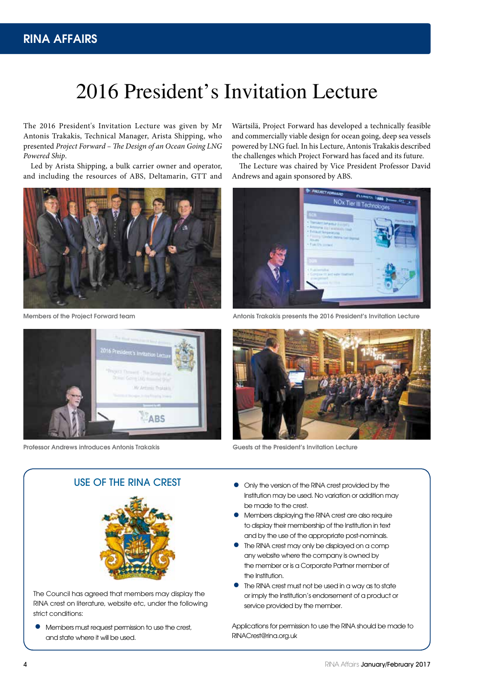# 2016 President's Invitation Lecture

The 2016 President's Invitation Lecture was given by Mr Antonis Trakakis, Technical Manager, Arista Shipping, who presented *Project Forward – The Design of an Ocean Going LNG Powered Ship*.

Led by Arista Shipping, a bulk carrier owner and operator, and including the resources of ABS, Deltamarin, GTT and



Members of the Project Forward team



Professor Andrews introduces Antonis Trakakis

Wärtsilä, Project Forward has developed a technically feasible and commercially viable design for ocean going, deep sea vessels powered by LNG fuel. In his Lecture, Antonis Trakakis described the challenges which Project Forward has faced and its future.

The Lecture was chaired by Vice President Professor David Andrews and again sponsored by ABS.



Antonis Trakakis presents the 2016 President's Invitation Lecture



Guests at the President's Invitation Lecture

# USE OF THE RINA CREST



The Council has agreed that members may display the RINA crest on literature, website etc, under the following strict conditions:

• Members must request permission to use the crest, and state where it will be used.

- Only the version of the RINA crest provided by the Institution may be used. No variation or addition may be made to the crest.
- Members displaying the RINA crest are also require to display their membership of the Institution in text and by the use of the appropriate post-nominals.
- The RINA crest may only be displayed on a comp any website where the company is owned by the member or is a Corporate Partner member of the Institution.
- The RINA crest must not be used in a way as to state or imply the Institution's endorsement of a product or service provided by the member.

Applications for permission to use the RINA should be made to RINACrest@rina.org.uk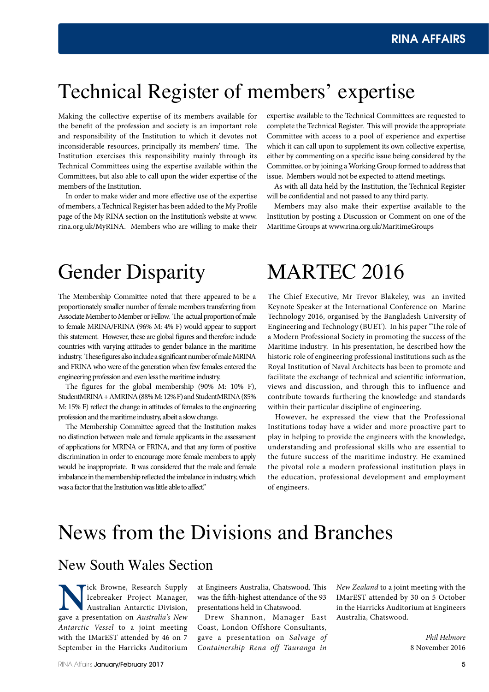# Technical Register of members' expertise

Making the collective expertise of its members available for the benefit of the profession and society is an important role and responsibility of the Institution to which it devotes not inconsiderable resources, principally its members' time. The Institution exercises this responsibility mainly through its Technical Committees using the expertise available within the Committees, but also able to call upon the wider expertise of the members of the Institution.

In order to make wider and more effective use of the expertise of members, a Technical Register has been added to the My Profile page of the My RINA section on the Institution's website at www. rina.org.uk/MyRINA. Members who are willing to make their expertise available to the Technical Committees are requested to complete the Technical Register. This will provide the appropriate Committee with access to a pool of experience and expertise which it can call upon to supplement its own collective expertise, either by commenting on a specific issue being considered by the Committee, or by joining a Working Group formed to address that issue. Members would not be expected to attend meetings.

As with all data held by the Institution, the Technical Register will be confidential and not passed to any third party.

Members may also make their expertise available to the Institution by posting a Discussion or Comment on one of the Maritime Groups at www.rina.org.uk/MaritimeGroups

# Gender Disparity

The Membership Committee noted that there appeared to be a proportionately smaller number of female members transferring from Associate Member to Member or Fellow. The actual proportion of male to female MRINA/FRINA (96% M: 4% F) would appear to support this statement. However, these are global figures and therefore include countries with varying attitudes to gender balance in the maritime industry. These figures also include a significant number of male MRINA and FRINA who were of the generation when few females entered the engineering profession and even less the maritime industry.

The figures for the global membership (90% M: 10% F), StudentMRINA + AMRINA (88% M: 12% F) and StudentMRINA (85% M: 15% F) reflect the change in attitudes of females to the engineering profession and the maritime industry, albeit a slow change.

The Membership Committee agreed that the Institution makes no distinction between male and female applicants in the assessment of applications for MRINA or FRINA, and that any form of positive discrimination in order to encourage more female members to apply would be inappropriate. It was considered that the male and female imbalance in the membership reflected the imbalance in industry, which was a factor that the Institution was little able to affect."

# MARTEC 2016

The Chief Executive, Mr Trevor Blakeley, was an invited Keynote Speaker at the International Conference on Marine Technology 2016, organised by the Bangladesh University of Engineering and Technology (BUET). In his paper "The role of a Modern Professional Society in promoting the success of the Maritime industry. In his presentation, he described how the historic role of engineering professional institutions such as the Royal Institution of Naval Architects has been to promote and facilitate the exchange of technical and scientific information, views and discussion, and through this to influence and contribute towards furthering the knowledge and standards within their particular discipline of engineering.

However, he expressed the view that the Professional Institutions today have a wider and more proactive part to play in helping to provide the engineers with the knowledge, understanding and professional skills who are essential to the future success of the maritime industry. He examined the pivotal role a modern professional institution plays in the education, professional development and employment of engineers.

# News from the Divisions and Branches

# New South Wales Section

Icebreaker Project Manager,<br>
Rustralian Antarctic Division,<br>
gave a presentation on *Australia's New* Icebreaker Project Manager, Australian Antarctic Division, gave a presentation on *Australia's New Antarctic Vessel* to a joint meeting with the IMarEST attended by 46 on 7 September in the Harricks Auditorium

at Engineers Australia, Chatswood. This was the fifth-highest attendance of the 93 presentations held in Chatswood.

Drew Shannon, Manager East Coast, London Offshore Consultants, gave a presentation on *Salvage of Containership Rena off Tauranga in* 

*New Zealand* to a joint meeting with the IMarEST attended by 30 on 5 October in the Harricks Auditorium at Engineers Australia, Chatswood.

> *Phil Helmore* 8 November 2016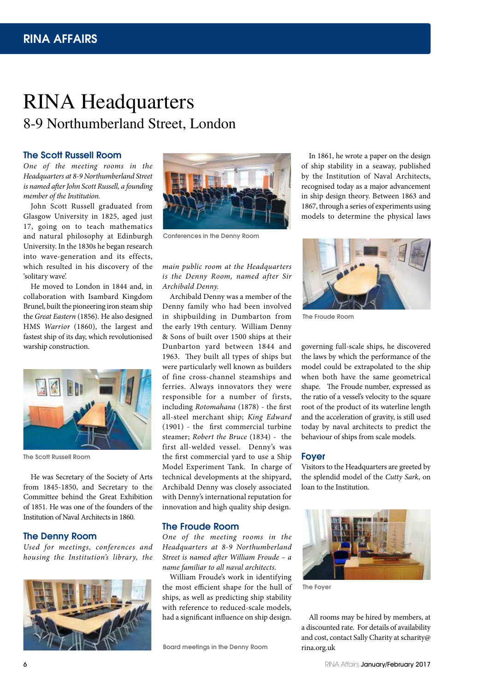# RINA Headquarters 8-9 Northumberland Street, London

### The Scott Russell Room

*One of the meeting rooms in the Headquarters at 8-9 Northumberland Street is named after John Scott Russell, a founding member of the Institution.*

John Scott Russell graduated from Glasgow University in 1825, aged just 17, going on to teach mathematics and natural philosophy at Edinburgh University. In the 1830s he began research into wave-generation and its effects, which resulted in his discovery of the 'solitary wave'.

He moved to London in 1844 and, in collaboration with Isambard Kingdom Brunel, built the pioneering iron steam ship the *Great Eastern* (1856). He also designed HMS *Warrior* (1860), the largest and fastest ship of its day, which revolutionised warship construction.



The Scott Russell Room

He was Secretary of the Society of Arts from 1845-1850, and Secretary to the Committee behind the Great Exhibition of 1851. He was one of the founders of the Institution of Naval Architects in 1860.

### The Denny Room

*Used for meetings, conferences and housing the Institution's library, the* 





Conferences in the Denny Room

# *main public room at the Headquarters is the Denny Room, named after Sir Archibald Denny.*

Archibald Denny was a member of the Denny family who had been involved in shipbuilding in Dumbarton from the early 19th century. William Denny & Sons of built over 1500 ships at their Dunbarton yard between 1844 and 1963. They built all types of ships but were particularly well known as builders of fine cross-channel steamships and ferries. Always innovators they were responsible for a number of firsts, including *Rotomahana* (1878) - the first all-steel merchant ship; *King Edward* (1901) - the first commercial turbine steamer; *Robert the Bruce* (1834) - the first all-welded vessel. Denny's was the first commercial yard to use a Ship Model Experiment Tank. In charge of technical developments at the shipyard, Archibald Denny was closely associated with Denny's international reputation for innovation and high quality ship design.

# The Froude Room

*One of the meeting rooms in the Headquarters at 8-9 Northumberland Street is named after William Froude – a name familiar to all naval architects*.

William Froude's work in identifying the most efficient shape for the hull of ships, as well as predicting ship stability with reference to reduced-scale models, had a significant influence on ship design.

Board meetings in the Denny Room

In 1861, he wrote a paper on the design of ship stability in a seaway, published by the Institution of Naval Architects, recognised today as a major advancement in ship design theory. Between 1863 and 1867, through a series of experiments using models to determine the physical laws



The Froude Room

governing full-scale ships, he discovered the laws by which the performance of the model could be extrapolated to the ship when both have the same geometrical shape. The Froude number, expressed as the ratio of a vessel's velocity to the square root of the product of its waterline length and the acceleration of gravity, is still used today by naval architects to predict the behaviour of ships from scale models.

### Foyer

Visitors to the Headquarters are greeted by the splendid model of the *Cutty Sark*, on loan to the Institution.



The Foyer

All rooms may be hired by members, at a discounted rate. For details of availability and cost, contact Sally Charity at scharity@ rina.org.uk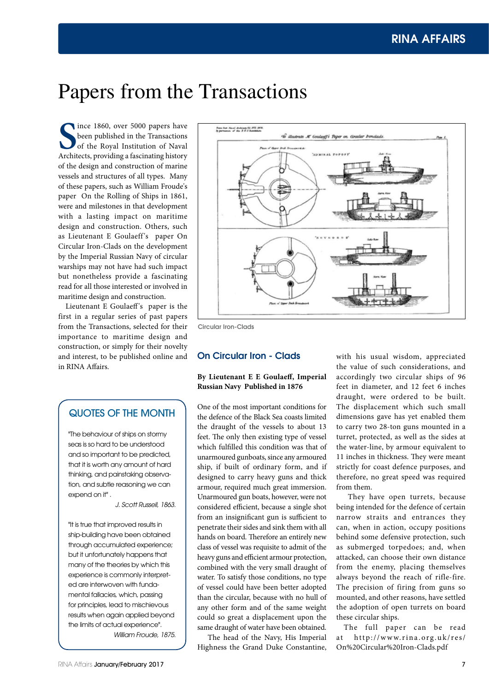# Papers from the Transactions

Since 1860, over 5000 papers have<br>
been published in the Transactions<br>
of the Royal Institution of Naval<br>
Architects, providing a fascinating history ince 1860, over 5000 papers have been published in the Transactions of the Royal Institution of Naval of the design and construction of marine vessels and structures of all types. Many of these papers, such as William Froude's paper On the Rolling of Ships in 1861, were and milestones in that development with a lasting impact on maritime design and construction. Others, such as Lieutenant E Goulaeff's paper On Circular Iron-Clads on the development by the Imperial Russian Navy of circular warships may not have had such impact but nonetheless provide a fascinating read for all those interested or involved in maritime design and construction.

Lieutenant E Goulaeff's paper is the first in a regular series of past papers from the Transactions, selected for their importance to maritime design and construction, or simply for their novelty and interest, to be published online and in RINA Affairs.

# QUOTES OF THE MONTH

"The behaviour of ships on stormy seas is so hard to be understood and so important to be predicted, that it is worth any amount of hard thinking, and painstaking observation, and subtle reasoning we can expend on it".

*J. Scott Russell, 1863.*

"It is true that improved results in ship-building have been obtained through accumulated experience; but it unfortunately happens that many of the theories by which this experience is commonly interpreted are interwoven with fundamental fallacies, which, passing for principles, lead to mischievous results when again applied beyond the limits of actual experience". *William Froude, 1875.*



Circular Iron-Clads

# On Circular Iron - Clads

### **By Lieutenant E E Goulaeff, Imperial Russian Navy Published in 1876**

One of the most important conditions for the defence of the Black Sea coasts limited the draught of the vessels to about 13 feet. The only then existing type of vessel which fulfilled this condition was that of unarmoured gunboats, since any armoured ship, if built of ordinary form, and if designed to carry heavy guns and thick armour, required much great immersion. Unarmoured gun boats, however, were not considered efficient, because a single shot from an insignificant gun is sufficient to penetrate their sides and sink them with all hands on board. Therefore an entirely new class of vessel was requisite to admit of the heavy guns and efficient armour protection, combined with the very small draught of water. To satisfy those conditions, no type of vessel could have been better adopted than the circular, because with no hull of any other form and of the same weight could so great a displacement upon the same draught of water have been obtained.

 The head of the Navy, His Imperial Highness the Grand Duke Constantine,

with his usual wisdom, appreciated the value of such considerations, and accordingly two circular ships of 96 feet in diameter, and 12 feet 6 inches draught, were ordered to be built. The displacement which such small dimensions gave has yet enabled them to carry two 28-ton guns mounted in a turret, protected, as well as the sides at the water-line, by armour equivalent to 11 inches in thickness. They were meant strictly for coast defence purposes, and therefore, no great speed was required from them.

 They have open turrets, because being intended for the defence of certain narrow straits and entrances they can, when in action, occupy positions behind some defensive protection, such as submerged torpedoes; and, when attacked, can choose their own distance from the enemy, placing themselves always beyond the reach of rifle-fire. The precision of firing from guns so mounted, and other reasons, have settled the adoption of open turrets on board these circular ships.

The full paper can be read at http://www.rina.org.uk/res/ On%20Circular%20Iron-Clads.pdf